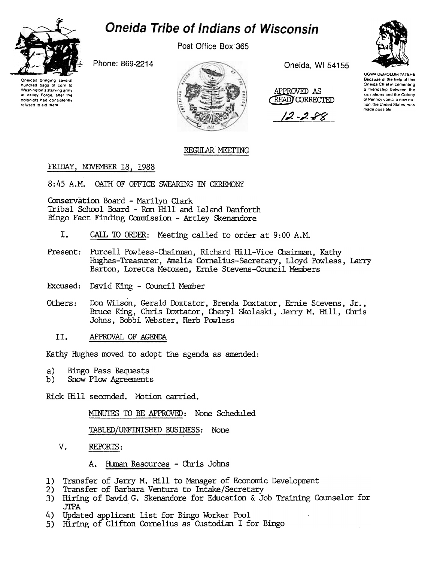# **Oneida Tribe of Indians of Wisconsin**



Post Office Box 365

Phone: 869-2214

Oneidas bringing several<br>hundred bags of corn to Washington's starving army at Valley Forge, after the colonists had consistently refused to aid them



Oneida, WI 54155

APPROVED AS **READY CORRECTED** 

12 - 2 - 88



**UGWA DEMOLUM YATEHE** Because of the help of this Oneida Chief in cementing a friendship between the six nations and the Colony of Pennsylvania, a new nation, the United States, was made possible

# REGULAR MEETING

## FRIDAY, NOVEMBER 18, 1988

8:45 A.M. OATH OF OFFICE SWEARING IN CEREMONY

Conservation Board - Marilyn Clark Tribal School Board - Ron Hill and Leland Danforth Bingo Fact Finding Commission - Artley Skenandore

- I. CALL TO ORDER: Meeting called to order at 9:00 A.M.
- Present: Purcell Powless-Chairman, Richard Hill-Vice Chairman, Kathy Hughes-Treasurer, Amelia Cornelius-Secretary, Lloyd Powless, Larry Barton, Loretta Metoxen, Ernie Stevens-Council Members
- Excused: David King Council Member
- Others: Don Wilson, Gerald Doxtator, Brenda Doxtator, Ernie Stevens, Jr., Bruce King, Chris Doxtator, Cheryl Skolaski, Jerry M. Hill, Chris Johns, Bobbi Webster, Herb Powless
	- II. APPROVAL OF AGENDA

Kathy Hughes moved to adopt the agenda as amended:

- $a)$ **Bingo Pass Requests**
- $b)$ Snow Plow Agreements

Rick Hill seconded. Motion carried.

MINUTES TO BE APPROVED: None Scheduled

TABLED/UNFINISHED BUSINESS: None

V. REPORTS:

> Human Resources - Chris Johns A.

- 1) Transfer of Jerry M. Hill to Manager of Economic Development
- 2) Transfer of Barbara Ventura to Intake/Secretary
- 3) Hiring of David G. Skenandore for Education & Job Training Counselor for **JTPA**
- 4) Updated applicant list for Bingo Worker Pool
- 5) Hiring of Clifton Cornelius as Custodian I for Bingo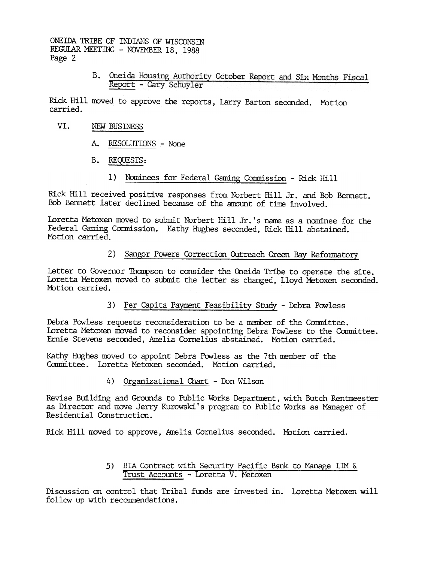> B. Oneida Housing Authority October Report and Six Months Fiscal Report - Gary Schuyler

Rick Hill moved to approve the reports, Larry Barton seconded. Motion carried.

- VI. NEW BUSINESS
	- A. RESOLUTIONS None
	- B. REQUESTS:
		- 1) Nominees for Federal Gaming Commission Rick Hill

Rick Hill received positive responses from Norbert Hill Jr. and Bob Bennett. Bob Bennett later declined because of the amount of time involved.

Loretta Metoxen moved to submit Norbert Hill Jr.'s name as a nominee for the Federal Gaming Commission. Kathy Hughes seconded, Rick Hill abstained. Motion carried.

### 2) Sangor Powers Correction Outreach Green Bay Reformatory

Letter to Governor Thompson to consider the Oneida Tribe to operate the site. Loretta Metoxen moved to submit the letter as changed. Lloyd Metoxen seconded. Motion carried.

3) Per Capita Payment Feasibility Study - Debra Powless

Debra Powless requests reconsideration to be a member of the Committee. Loretta Metoxen moved to reconsider appointing Debra Powless to the Committee. Ernie Stevens seconded, Amelia Cornelius abstained. Motion carried.

Kathy Hughes moved to appoint Debra Powless as the 7th member of the Committee. Loretta Metoxen seconded. Motion carried.

4) Organizational Chart - Don Wilson

Revise Building and Grounds to Public Works Department, with Butch Rentmeester as Director and move Jerry Kurowski's program to Public Works as Manager of Residential Construction.

Rick Hill moved to approve, Amelia Cornelius seconded. Motion carried.

5) BIA Contract with Security Pacific Bank to Manage IM & Trust Accounts - Loretta V. Metoxen

Discussion on control that Tribal funds are invested in. Loretta Metoxen will follow up with recommendations.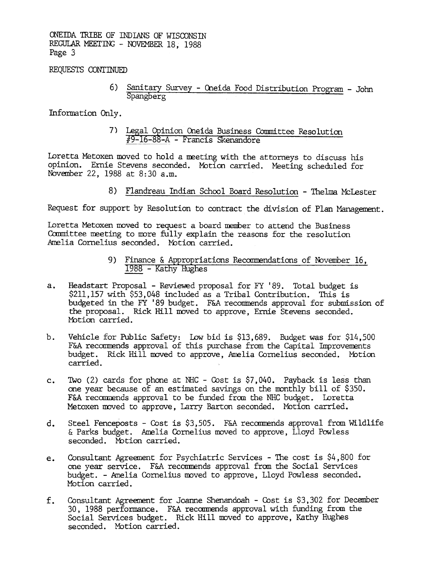REQUESTS CONTINUED

6) Sanitary Survey - Oneida Food Distribution Program - John Spangberg

Information Only.

7) Legal Opinion Oneida Business Committee Resolution #9-16-88-A - Francis Skenandore

Loretta Metoxen moved to hold a meeting with the attorneys to discuss his opinion. Ernie Stevens seconded. Motion carried. Meeting scheduled for November 22, 1988 at 8:30 a.m.

8) Flandreau Indian School Board Resolution - Thelma McLester

Request for support by Resolution to contract the division of Plan Management.

Loretta Metoxen moved to request a board member to attend the Business Committee meeting to more fully explain the reasons for the resolution Amelia Cornelius seconded. Motion carried.

- 9) Finance & Appropriations Recommendations of November 16, 1988 - Kathy Hughes
- Headstart Proposal Reviewed proposal for FY '89. Total budget is  $a_{\bullet}$ \$211,157 with \$53,048 included as a Tribal Contribution. This is budgeted in the FY '89 budget. F&A recommends approval for submission of the proposal. Rick Hill moved to approve, Ernie Stevens seconded. Motion carried.
- Vehicle for Public Safety: Low bid is \$13,689. Budget was for \$14,500  $b.$ F&A recommends approval of this purchase from the Capital Improvements budget. Rick Hill moved to approve, Amelia Cornelius seconded. Motion carried.
- Two (2) cards for phone at NHC Cost is  $$7,040$ . Payback is less than  $\mathbf{c}$ . one year because of an estimated savings on the monthly bill of \$350. F&A recommends approval to be funded from the NHC budget. Loretta Metoxen moved to approve, Larry Barton seconded. Motion carried.
- Steel Fenceposts Cost is \$3,505. F&A recommends approval from Wildlife  $d_{\bullet}$ & Parks budget. Amelia Cornelius moved to approve, Lloyd Powless seconded. Motion carried.
- Consultant Agreement for Psychiatric Services The cost is \$4,800 for e. one year service. F&A recommends approval from the Social Services budget. - Amelia Cornelius moved to approve, Lloyd Powless seconded. Motion carried.
- Consultant Agreement for Joanne Shenandoah Cost is \$3,302 for December  $f_{\star}$ 30, 1988 performance. F&A recommends approval with funding from the Social Services budget. Rick Hill moved to approve, Kathy Hughes seconded. Motion carried.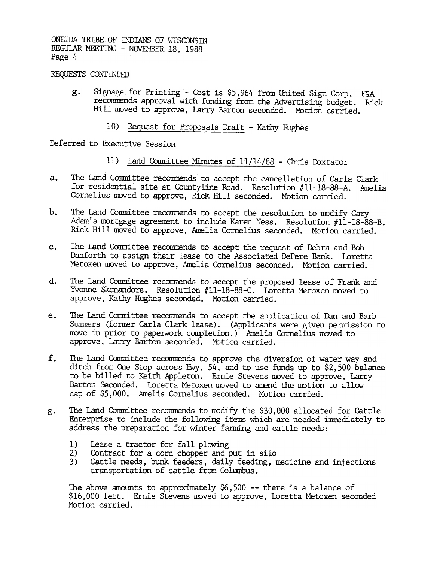#### REQUESTS CONTINUED

- g. Signage for Printing Cost is \$5,964 from United Sign Corp. F&A recommends approval with funding from the Advertising budget. Rick Hill moved to approve, Larry Barton seconded. Motion carried.
	- 10) Request for Proposals Draft Kathy Hughes

Deferred to Executive Session

- 
- The Land Committee recommends to accept the cancellation of Carla Clark for residential site at Gountyline Road. Resolution #11-18-88-A. Amelia Cornelius moved to approve, Rick Hill seconded. Motion carried.
- b. The Land Committee recommends to accept the resolution to modify Gary Adam's mortgage agreement to include Karen Ness. Resolution  $#11-18-88-B$ . Rick Hill moved to approve, Amelia Cornelius seconded. MOtion carried.
- The Land Committee recommends to accept the request of Debra and Bob Danforth to assign their lease to the Associated DePere Bank. Loretta Metoxen moved to approve, Amelia Cornelius seconded. Motion carried.
- The Land Committee recommends to accept the proposed lease of Frank and Yvonne Skenandore. Resolution #11-18-88-C. Loretta Metoxen moved to approve, Kathy Hughes seconded. Mbtion carried.
- The Land Committee recommends to accept the application of Dan and Barb Summers (former Carla Clark lease). (Applicants were given permission to move in prior to paperwork completion.) Amelia Cornelius moved to approve, Larry Barton seconded. Motion carried. e.
- 11) Land Committee Minutes of 11/14/88 Chris Doxtator (11) Land Committee accommodes to accept the cancellation of Car, the land Committee moreover, blink Hill associated to intermedicing the complete recommends to acce f. The Land Committee recommends to approve the diversion of water way and ditch from One Stop across Hwy. 54, and to use funds up to \$2,500 balance to be billed to Keith Appleton. Ernie Stevens moved to approve, Larry Barton Seconded. Loretta Metoxen moved to amend the motion to allow cap of \$5,000. Amelia Cornelius seconded. Motion carried.
	- The Land Committee recommends to modify the \$30,000 allocated for Cattle Enterprise to include the following items which are needed imrediately to address the preparation for winter farming and cattle needs: g.
		- 1) Lease a tractor for fall plowing
		- 2) Contract for a corn chopper and put in silo
		- 3) Cattle needs, bunk feeders, daily feeding, medicine and injections transportation of cattle from Columbus.

The above amounts to approximately  $$6,500$  -- there is a balance of \$16,000 left. Ernie Stevens moved to approve, Loretta Metoxen seconded Motion carried.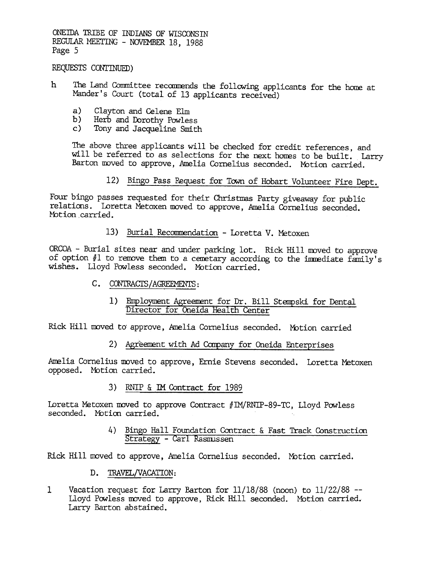#### REQUESTS CONTINUED)

- The Land Committee recommends the following applicants for the home at h. Mander's Court (total of 13 applicants received)
	- a) Clayton and Celene Elm
	- $b)$ Herb and Dorothy Powless
	- $\mathsf{c}$ ) Tony and Jacqueline Smith

The above three applicants will be checked for credit references, and will be referred to as selections for the next homes to be built. Larry Barton moved to approve, Amelia Cornelius seconded. Motion carried.

12) Bingo Pass Request for Town of Hobart Volunteer Fire Dept.

Four bingo passes requested for their Christmas Party giveaway for public relations. Loretta Metoxen moved to approve, Amelia Cornelius seconded. Motion carried.

13) Burial Recommendation - Loretta V. Metoxen

ORCOA - Burial sites near and under parking lot. Rick Hill moved to approve of option  $#1$  to remove them to a cenetary according to the immediate family's wishes. Lloyd Powless seconded. Motion carried.

- C. CONTRACTS/AGREEMENTS:
	- 1) Employment Agreement for Dr. Bill Stempski for Dental Director for Oneida Health Center

Rick Hill moved to approve, Amelia Cornelius seconded. Motion carried

2) Agreement with Ad Company for Oneida Enterprises

Amelia Cornelius moved to approve, Ernie Stevens seconded. Loretta Metoxen opposed. Motion carried.

3) RNIP & IM Contract for 1989

Loretta Metoxen moved to approve Contract #IM/RNIP-89-TC, Lloyd Powless seconded. Motion carried.

4) Bingo Hall Foundation Contract & Fast Track Construction Strategy - Carl Rasmussen

Rick Hill moved to approve, Amelia Cornelius seconded. Motion carried.

- D. TRAVEL/VACATION:
- $\mathbf{1}$ Vacation request for Larry Barton for 11/18/88 (noon) to 11/22/88 --Lloyd Powless moved to approve, Rick Hill seconded. Motion carried. Larry Barton abstained.